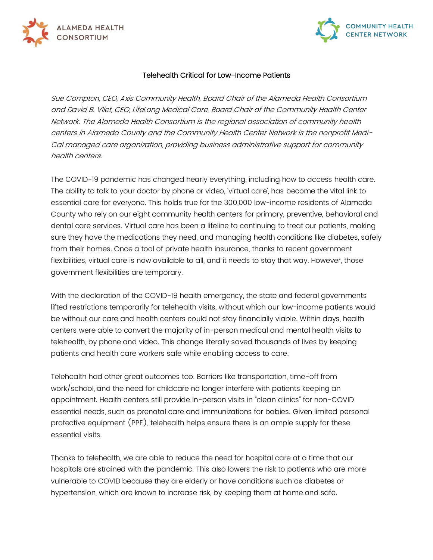



## Telehealth Critical for Low-Income Patients

Sue Compton, CEO, Axis Community Health, Board Chair of the Alameda Health Consortium and David B. Vliet, CEO, LifeLong Medical Care, Board Chair of the Community Health Center Network. The Alameda Health Consortium is the regional association of community health centers in Alameda County and the Community Health Center Network is the nonprofit Medi-Cal managed care organization, providing business administrative support for community health centers.

The COVID-19 pandemic has changed nearly everything, including how to access health care. The ability to talk to your doctor by phone or video, 'virtual care', has become the vital link to essential care for everyone. This holds true for the 300,000 low-income residents of Alameda County who rely on our eight community health centers for primary, preventive, behavioral and dental care services. Virtual care has been a lifeline to continuing to treat our patients, making sure they have the medications they need, and managing health conditions like diabetes, safely from their homes. Once a tool of private health insurance, thanks to recent government flexibilities, virtual care is now available to all, and it needs to stay that way. However, those government flexibilities are temporary.

With the declaration of the COVID-19 health emergency, the state and federal governments lifted restrictions temporarily for telehealth visits, without which our low-income patients would be without our care and health centers could not stay financially viable. Within days, health centers were able to convert the majority of in-person medical and mental health visits to telehealth, by phone and video. This change literally saved thousands of lives by keeping patients and health care workers safe while enabling access to care.

Telehealth had other great outcomes too. Barriers like transportation, time-off from work/school, and the need for childcare no longer interfere with patients keeping an appointment. Health centers still provide in-person visits in "clean clinics" for non-COVID essential needs, such as prenatal care and immunizations for babies. Given limited personal protective equipment (PPE), telehealth helps ensure there is an ample supply for these essential visits.

Thanks to telehealth, we are able to reduce the need for hospital care at a time that our hospitals are strained with the pandemic. This also lowers the risk to patients who are more vulnerable to COVID because they are elderly or have conditions such as diabetes or hypertension, which are known to increase risk, by keeping them at home and safe.